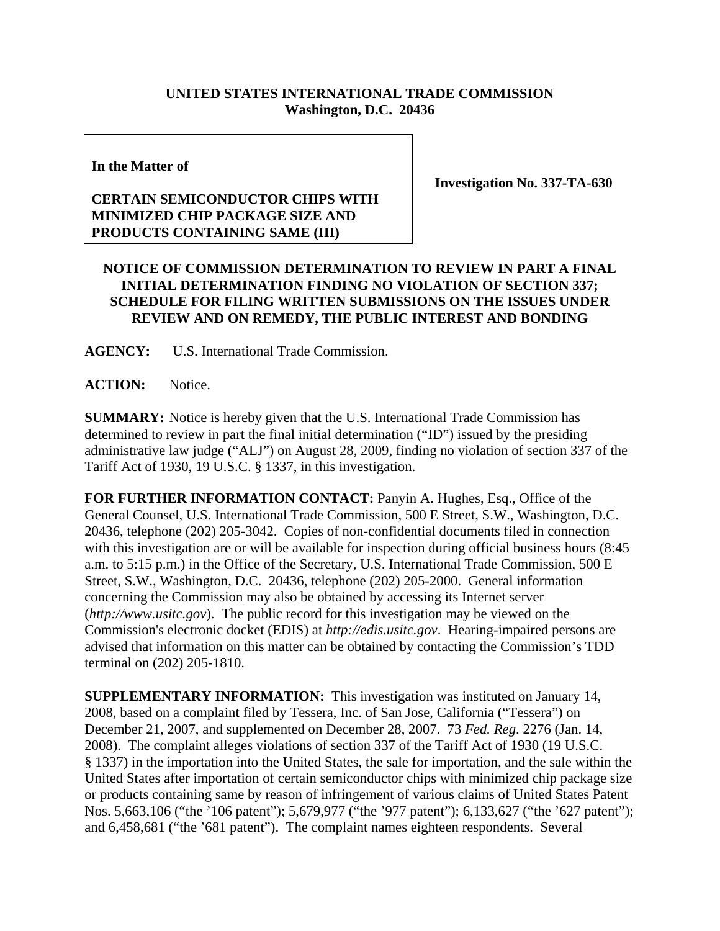## **UNITED STATES INTERNATIONAL TRADE COMMISSION Washington, D.C. 20436**

**In the Matter of**

## **CERTAIN SEMICONDUCTOR CHIPS WITH MINIMIZED CHIP PACKAGE SIZE AND PRODUCTS CONTAINING SAME (III)**

**Investigation No. 337-TA-630**

## **NOTICE OF COMMISSION DETERMINATION TO REVIEW IN PART A FINAL INITIAL DETERMINATION FINDING NO VIOLATION OF SECTION 337; SCHEDULE FOR FILING WRITTEN SUBMISSIONS ON THE ISSUES UNDER REVIEW AND ON REMEDY, THE PUBLIC INTEREST AND BONDING**

**AGENCY:** U.S. International Trade Commission.

**ACTION:** Notice.

**SUMMARY:** Notice is hereby given that the U.S. International Trade Commission has determined to review in part the final initial determination ("ID") issued by the presiding administrative law judge ("ALJ") on August 28, 2009, finding no violation of section 337 of the Tariff Act of 1930, 19 U.S.C. § 1337, in this investigation.

**FOR FURTHER INFORMATION CONTACT:** Panyin A. Hughes, Esq., Office of the General Counsel, U.S. International Trade Commission, 500 E Street, S.W., Washington, D.C. 20436, telephone (202) 205-3042. Copies of non-confidential documents filed in connection with this investigation are or will be available for inspection during official business hours (8:45) a.m. to 5:15 p.m.) in the Office of the Secretary, U.S. International Trade Commission, 500 E Street, S.W., Washington, D.C. 20436, telephone (202) 205-2000. General information concerning the Commission may also be obtained by accessing its Internet server (*http://www.usitc.gov*). The public record for this investigation may be viewed on the Commission's electronic docket (EDIS) at *http://edis.usitc.gov*. Hearing-impaired persons are advised that information on this matter can be obtained by contacting the Commission's TDD terminal on (202) 205-1810.

**SUPPLEMENTARY INFORMATION:** This investigation was instituted on January 14, 2008, based on a complaint filed by Tessera, Inc. of San Jose, California ("Tessera") on December 21, 2007, and supplemented on December 28, 2007. 73 *Fed. Reg*. 2276 (Jan. 14, 2008). The complaint alleges violations of section 337 of the Tariff Act of 1930 (19 U.S.C. § 1337) in the importation into the United States, the sale for importation, and the sale within the United States after importation of certain semiconductor chips with minimized chip package size or products containing same by reason of infringement of various claims of United States Patent Nos. 5,663,106 ("the '106 patent"); 5,679,977 ("the '977 patent"); 6,133,627 ("the '627 patent"); and 6,458,681 ("the '681 patent"). The complaint names eighteen respondents. Several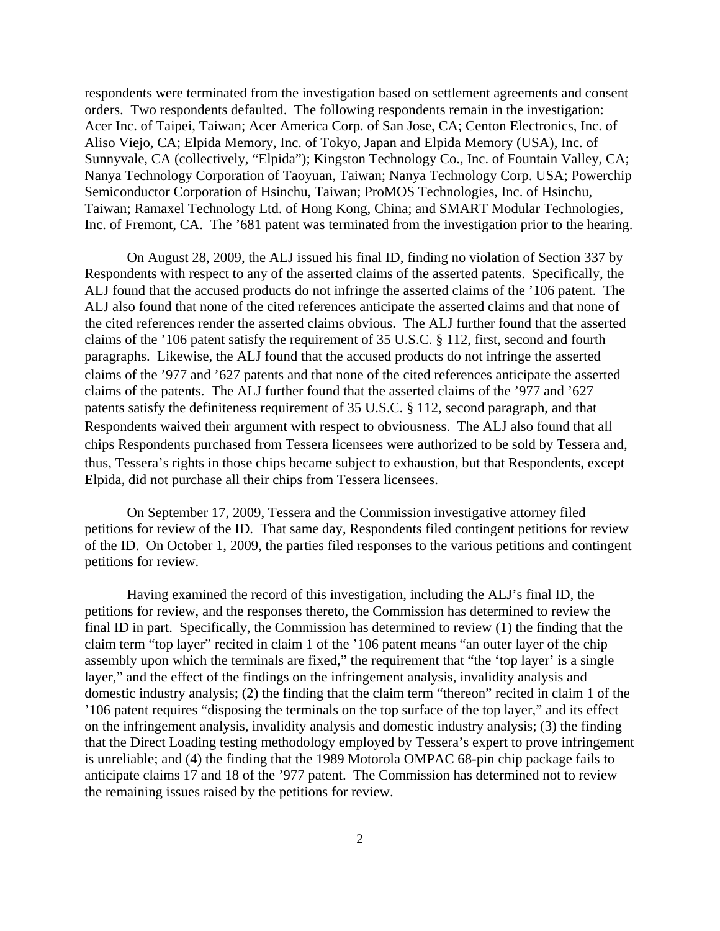respondents were terminated from the investigation based on settlement agreements and consent orders. Two respondents defaulted. The following respondents remain in the investigation: Acer Inc. of Taipei, Taiwan; Acer America Corp. of San Jose, CA; Centon Electronics, Inc. of Aliso Viejo, CA; Elpida Memory, Inc. of Tokyo, Japan and Elpida Memory (USA), Inc. of Sunnyvale, CA (collectively, "Elpida"); Kingston Technology Co., Inc. of Fountain Valley, CA; Nanya Technology Corporation of Taoyuan, Taiwan; Nanya Technology Corp. USA; Powerchip Semiconductor Corporation of Hsinchu, Taiwan; ProMOS Technologies, Inc. of Hsinchu, Taiwan; Ramaxel Technology Ltd. of Hong Kong, China; and SMART Modular Technologies, Inc. of Fremont, CA. The '681 patent was terminated from the investigation prior to the hearing.

On August 28, 2009, the ALJ issued his final ID, finding no violation of Section 337 by Respondents with respect to any of the asserted claims of the asserted patents. Specifically, the ALJ found that the accused products do not infringe the asserted claims of the '106 patent. The ALJ also found that none of the cited references anticipate the asserted claims and that none of the cited references render the asserted claims obvious. The ALJ further found that the asserted claims of the '106 patent satisfy the requirement of 35 U.S.C. § 112, first, second and fourth paragraphs. Likewise, the ALJ found that the accused products do not infringe the asserted claims of the '977 and '627 patents and that none of the cited references anticipate the asserted claims of the patents. The ALJ further found that the asserted claims of the '977 and '627 patents satisfy the definiteness requirement of 35 U.S.C. § 112, second paragraph, and that Respondents waived their argument with respect to obviousness. The ALJ also found that all chips Respondents purchased from Tessera licensees were authorized to be sold by Tessera and, thus, Tessera's rights in those chips became subject to exhaustion, but that Respondents, except Elpida, did not purchase all their chips from Tessera licensees.

On September 17, 2009, Tessera and the Commission investigative attorney filed petitions for review of the ID. That same day, Respondents filed contingent petitions for review of the ID. On October 1, 2009, the parties filed responses to the various petitions and contingent petitions for review.

Having examined the record of this investigation, including the ALJ's final ID, the petitions for review, and the responses thereto, the Commission has determined to review the final ID in part. Specifically, the Commission has determined to review (1) the finding that the claim term "top layer" recited in claim 1 of the '106 patent means "an outer layer of the chip assembly upon which the terminals are fixed," the requirement that "the 'top layer' is a single layer," and the effect of the findings on the infringement analysis, invalidity analysis and domestic industry analysis; (2) the finding that the claim term "thereon" recited in claim 1 of the '106 patent requires "disposing the terminals on the top surface of the top layer," and its effect on the infringement analysis, invalidity analysis and domestic industry analysis; (3) the finding that the Direct Loading testing methodology employed by Tessera's expert to prove infringement is unreliable; and (4) the finding that the 1989 Motorola OMPAC 68-pin chip package fails to anticipate claims 17 and 18 of the '977 patent. The Commission has determined not to review the remaining issues raised by the petitions for review.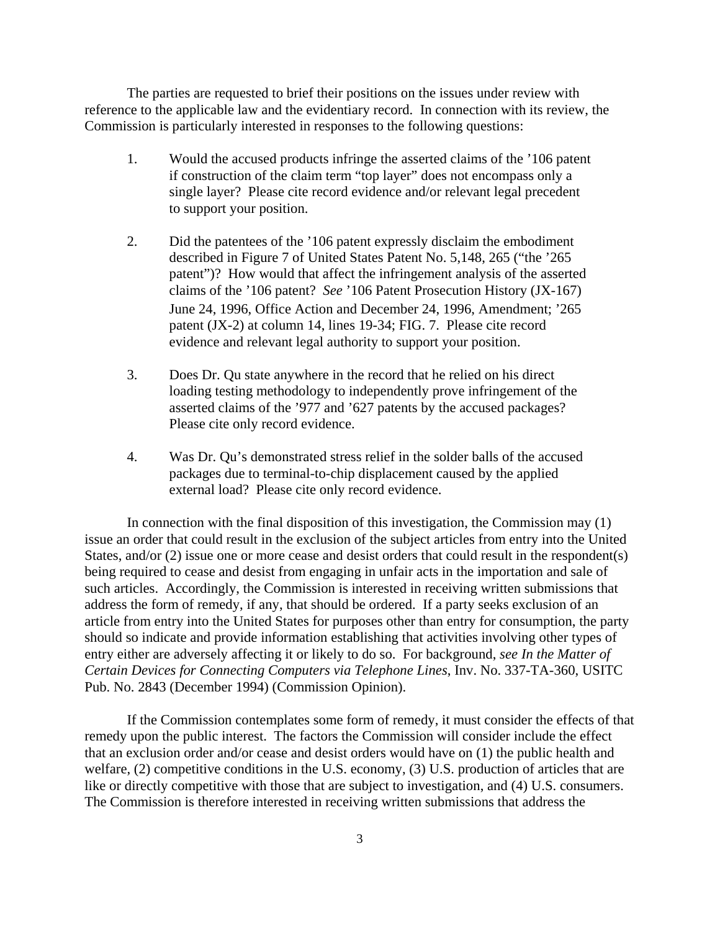The parties are requested to brief their positions on the issues under review with reference to the applicable law and the evidentiary record. In connection with its review, the Commission is particularly interested in responses to the following questions:

- 1. Would the accused products infringe the asserted claims of the '106 patent if construction of the claim term "top layer" does not encompass only a single layer? Please cite record evidence and/or relevant legal precedent to support your position.
- 2. Did the patentees of the '106 patent expressly disclaim the embodiment described in Figure 7 of United States Patent No. 5,148, 265 ("the '265 patent")? How would that affect the infringement analysis of the asserted claims of the '106 patent? *See* '106 Patent Prosecution History (JX-167) June 24, 1996, Office Action and December 24, 1996, Amendment; '265 patent (JX-2) at column 14, lines 19-34; FIG. 7. Please cite record evidence and relevant legal authority to support your position.
- 3. Does Dr. Qu state anywhere in the record that he relied on his direct loading testing methodology to independently prove infringement of the asserted claims of the '977 and '627 patents by the accused packages? Please cite only record evidence.
- 4. Was Dr. Qu's demonstrated stress relief in the solder balls of the accused packages due to terminal-to-chip displacement caused by the applied external load? Please cite only record evidence.

In connection with the final disposition of this investigation, the Commission may (1) issue an order that could result in the exclusion of the subject articles from entry into the United States, and/or (2) issue one or more cease and desist orders that could result in the respondent(s) being required to cease and desist from engaging in unfair acts in the importation and sale of such articles. Accordingly, the Commission is interested in receiving written submissions that address the form of remedy, if any, that should be ordered. If a party seeks exclusion of an article from entry into the United States for purposes other than entry for consumption, the party should so indicate and provide information establishing that activities involving other types of entry either are adversely affecting it or likely to do so. For background, *see In the Matter of Certain Devices for Connecting Computers via Telephone Lines*, Inv. No. 337-TA-360, USITC Pub. No. 2843 (December 1994) (Commission Opinion).

If the Commission contemplates some form of remedy, it must consider the effects of that remedy upon the public interest. The factors the Commission will consider include the effect that an exclusion order and/or cease and desist orders would have on (1) the public health and welfare, (2) competitive conditions in the U.S. economy, (3) U.S. production of articles that are like or directly competitive with those that are subject to investigation, and (4) U.S. consumers. The Commission is therefore interested in receiving written submissions that address the